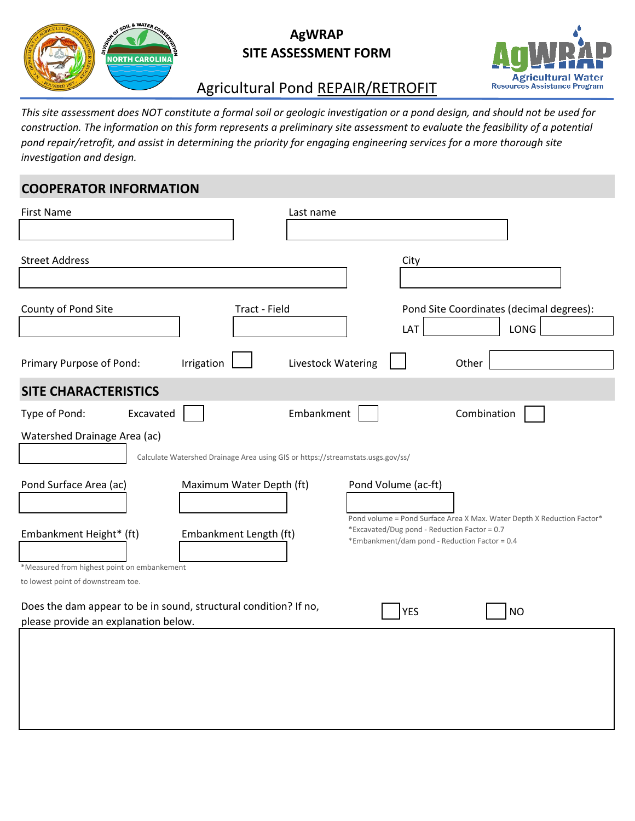

### **AgWRAP SITE ASSESSMENT FORM**



## Agricultural Pond REPAIR/RETROFIT

*This site assessment does NOT constitute a formal soil or geologic investigation or a pond design, and should not be used for construction. The information on this form represents a preliminary site assessment to evaluate the feasibility of a potential pond repair/retrofit, and assist in determining the priority for engaging engineering services for a more thorough site investigation and design.* 

#### **COOPERATOR INFORMATION**

| <b>First Name</b>                                                                                        | Last name                                                                       |                                                                                               |
|----------------------------------------------------------------------------------------------------------|---------------------------------------------------------------------------------|-----------------------------------------------------------------------------------------------|
| <b>Street Address</b>                                                                                    |                                                                                 | City                                                                                          |
| County of Pond Site                                                                                      | Tract - Field                                                                   | Pond Site Coordinates (decimal degrees):<br>LONG<br>LAT                                       |
| Irrigation<br>Primary Purpose of Pond:                                                                   | Livestock Watering                                                              | Other                                                                                         |
| <b>SITE CHARACTERISTICS</b>                                                                              |                                                                                 |                                                                                               |
| Type of Pond:<br>Excavated                                                                               | Embankment                                                                      | Combination                                                                                   |
| Watershed Drainage Area (ac)                                                                             | Calculate Watershed Drainage Area using GIS or https://streamstats.usgs.gov/ss/ |                                                                                               |
| Pond Surface Area (ac)                                                                                   | Maximum Water Depth (ft)                                                        | Pond Volume (ac-ft)<br>Pond volume = Pond Surface Area X Max. Water Depth X Reduction Factor* |
| Embankment Height* (ft)                                                                                  | Embankment Length (ft)                                                          | *Excavated/Dug pond - Reduction Factor = 0.7<br>*Embankment/dam pond - Reduction Factor = 0.4 |
| *Measured from highest point on embankement                                                              |                                                                                 |                                                                                               |
| to lowest point of downstream toe.                                                                       |                                                                                 |                                                                                               |
| Does the dam appear to be in sound, structural condition? If no,<br>please provide an explanation below. |                                                                                 | <b>YES</b><br><b>NO</b>                                                                       |
|                                                                                                          |                                                                                 |                                                                                               |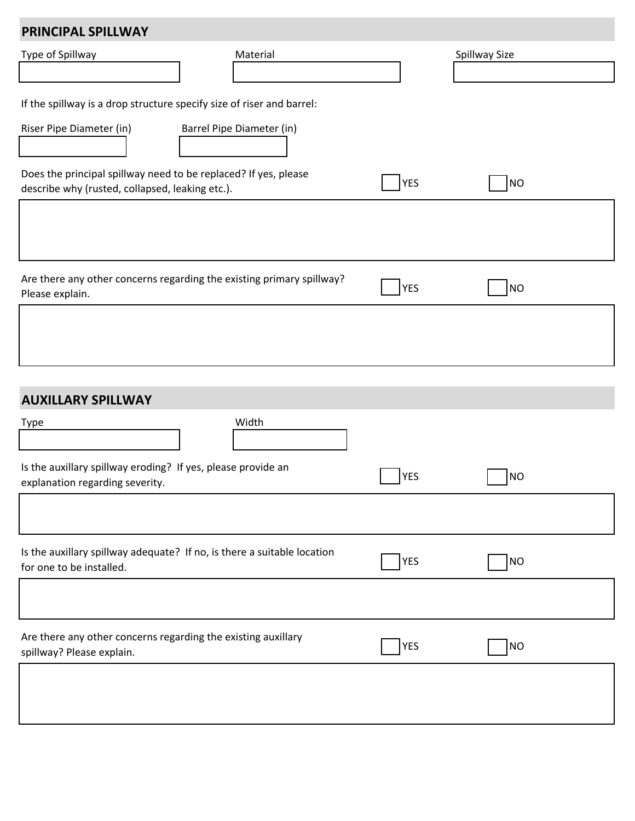| PRINCIPAL SPILLWAY                                                                                                 |                                                                       |            |               |  |
|--------------------------------------------------------------------------------------------------------------------|-----------------------------------------------------------------------|------------|---------------|--|
| Type of Spillway                                                                                                   | Material                                                              |            | Spillway Size |  |
|                                                                                                                    |                                                                       |            |               |  |
| If the spillway is a drop structure specify size of riser and barrel:                                              |                                                                       |            |               |  |
| Riser Pipe Diameter (in)                                                                                           | Barrel Pipe Diameter (in)                                             |            |               |  |
| Does the principal spillway need to be replaced? If yes, please<br>describe why (rusted, collapsed, leaking etc.). |                                                                       | YES        | NO            |  |
|                                                                                                                    |                                                                       |            |               |  |
|                                                                                                                    |                                                                       |            |               |  |
| Please explain.                                                                                                    | Are there any other concerns regarding the existing primary spillway? | <b>YES</b> | <b>NO</b>     |  |
|                                                                                                                    |                                                                       |            |               |  |
|                                                                                                                    |                                                                       |            |               |  |

# **AUXILLARY SPILLWAY**

| Width<br>Type                                                                                       |  |                         |  |
|-----------------------------------------------------------------------------------------------------|--|-------------------------|--|
| Is the auxillary spillway eroding? If yes, please provide an<br>explanation regarding severity.     |  | <b>YES</b><br><b>NO</b> |  |
|                                                                                                     |  |                         |  |
| Is the auxillary spillway adequate? If no, is there a suitable location<br>for one to be installed. |  | <b>YES</b><br>NO        |  |
|                                                                                                     |  |                         |  |
| Are there any other concerns regarding the existing auxillary<br>spillway? Please explain.          |  | YES<br><b>NO</b>        |  |
|                                                                                                     |  |                         |  |
|                                                                                                     |  |                         |  |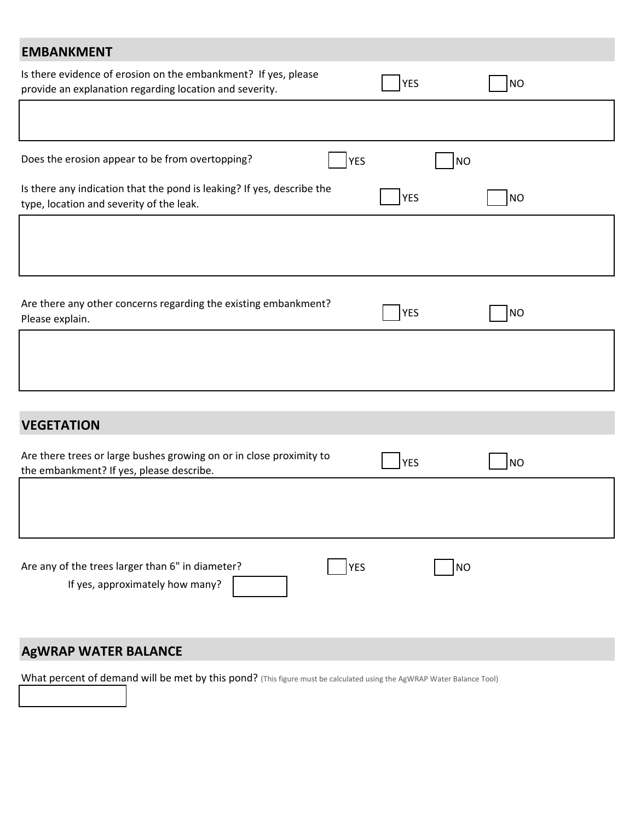| <b>EMBANKMENT</b>                                                                                                         |            |           |
|---------------------------------------------------------------------------------------------------------------------------|------------|-----------|
| Is there evidence of erosion on the embankment? If yes, please<br>provide an explanation regarding location and severity. | YES        | <b>NO</b> |
|                                                                                                                           |            |           |
| Does the erosion appear to be from overtopping?<br><b>YES</b>                                                             | <b>NO</b>  |           |
| Is there any indication that the pond is leaking? If yes, describe the<br>type, location and severity of the leak.        | <b>YES</b> | <b>NO</b> |
|                                                                                                                           |            |           |
| Are there any other concerns regarding the existing embankment?<br>Please explain.                                        | YES        | <b>NO</b> |
|                                                                                                                           |            |           |
|                                                                                                                           |            |           |
| <b>VEGETATION</b>                                                                                                         |            |           |
| Are there trees or large bushes growing on or in close proximity to<br>the embankment? If yes, please describe.           | <b>YES</b> | <b>NO</b> |
|                                                                                                                           |            |           |
| Are any of the trees larger than 6" in diameter?<br><b>YES</b><br>If yes, approximately how many?                         | <b>NO</b>  |           |
| <b>AgWRAP WATER BALANCE</b>                                                                                               |            |           |

What percent of demand will be met by this pond? (This figure must be calculated using the AgWRAP Water Balance Tool)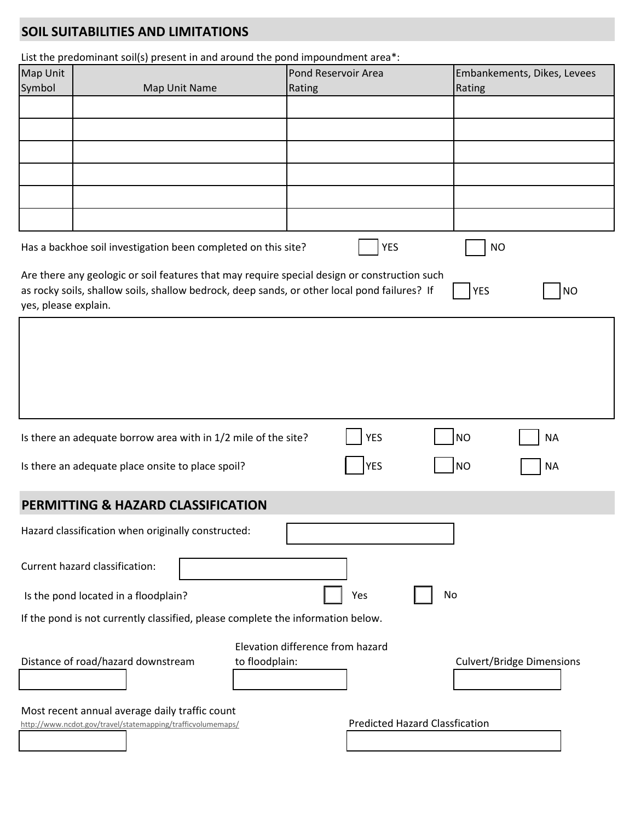## **SOIL SUITABILITIES AND LIMITATIONS**

|  |  | List the predominant soil(s) present in and around the pond impoundment area*: |
|--|--|--------------------------------------------------------------------------------|
|--|--|--------------------------------------------------------------------------------|

| Map Unit             | List the predominant solits) present in and around the pond impoundment area.                                                                                                                | Pond Reservoir Area              |                                       | Embankements, Dikes, Levees      |
|----------------------|----------------------------------------------------------------------------------------------------------------------------------------------------------------------------------------------|----------------------------------|---------------------------------------|----------------------------------|
| Symbol               | Map Unit Name                                                                                                                                                                                | Rating                           | Rating                                |                                  |
|                      |                                                                                                                                                                                              |                                  |                                       |                                  |
|                      |                                                                                                                                                                                              |                                  |                                       |                                  |
|                      |                                                                                                                                                                                              |                                  |                                       |                                  |
|                      |                                                                                                                                                                                              |                                  |                                       |                                  |
|                      |                                                                                                                                                                                              |                                  |                                       |                                  |
|                      | Has a backhoe soil investigation been completed on this site?                                                                                                                                | <b>YES</b>                       | <b>NO</b>                             |                                  |
| yes, please explain. | Are there any geologic or soil features that may require special design or construction such<br>as rocky soils, shallow soils, shallow bedrock, deep sands, or other local pond failures? If |                                  | <b>YES</b>                            | <b>NO</b>                        |
|                      |                                                                                                                                                                                              |                                  |                                       |                                  |
|                      |                                                                                                                                                                                              |                                  |                                       |                                  |
|                      | Is there an adequate borrow area with in 1/2 mile of the site?                                                                                                                               | <b>YES</b>                       | <b>NO</b>                             | <b>NA</b>                        |
|                      | Is there an adequate place onsite to place spoil?                                                                                                                                            | YES                              | <b>NO</b>                             | <b>NA</b>                        |
|                      | PERMITTING & HAZARD CLASSIFICATION                                                                                                                                                           |                                  |                                       |                                  |
|                      | Hazard classification when originally constructed:                                                                                                                                           |                                  |                                       |                                  |
|                      | Current hazard classification:                                                                                                                                                               |                                  |                                       |                                  |
|                      | Is the pond located in a floodplain?                                                                                                                                                         | Yes                              | No                                    |                                  |
|                      | If the pond is not currently classified, please complete the information below.                                                                                                              |                                  |                                       |                                  |
|                      | Distance of road/hazard downstream<br>to floodplain:                                                                                                                                         | Elevation difference from hazard |                                       | <b>Culvert/Bridge Dimensions</b> |
|                      | Most recent annual average daily traffic count<br>http://www.ncdot.gov/travel/statemapping/trafficvolumemaps/                                                                                |                                  | <b>Predicted Hazard Classfication</b> |                                  |